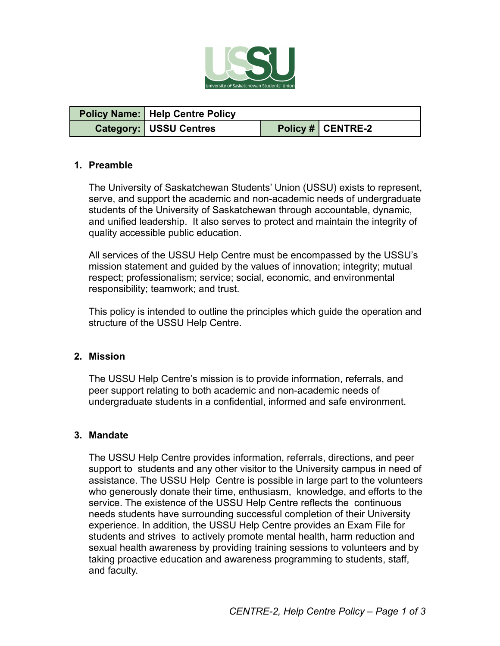

| <b>Policy Name:   Help Centre Policy</b> |                   |
|------------------------------------------|-------------------|
| <b>Category: USSU Centres</b>            | Policy # CENTRE-2 |

#### **1. Preamble**

The University of Saskatchewan Students' Union (USSU) exists to represent, serve, and support the academic and non-academic needs of undergraduate students of the University of Saskatchewan through accountable, dynamic, and unified leadership. It also serves to protect and maintain the integrity of quality accessible public education.

All services of the USSU Help Centre must be encompassed by the USSU's mission statement and guided by the values of innovation; integrity; mutual respect; professionalism; service; social, economic, and environmental responsibility; teamwork; and trust.

This policy is intended to outline the principles which guide the operation and structure of the USSU Help Centre.

#### **2. Mission**

The USSU Help Centre's mission is to provide information, referrals, and peer support relating to both academic and non-academic needs of undergraduate students in a confidential, informed and safe environment.

#### **3. Mandate**

The USSU Help Centre provides information, referrals, directions, and peer support to students and any other visitor to the University campus in need of assistance. The USSU Help Centre is possible in large part to the volunteers who generously donate their time, enthusiasm, knowledge, and efforts to the service. The existence of the USSU Help Centre reflects the continuous needs students have surrounding successful completion of their University experience. In addition, the USSU Help Centre provides an Exam File for students and strives to actively promote mental health, harm reduction and sexual health awareness by providing training sessions to volunteers and by taking proactive education and awareness programming to students, staff, and faculty.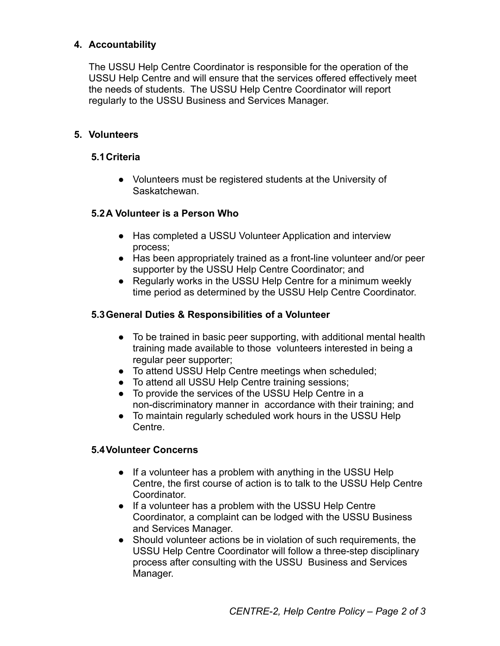# **4. Accountability**

The USSU Help Centre Coordinator is responsible for the operation of the USSU Help Centre and will ensure that the services offered effectively meet the needs of students. The USSU Help Centre Coordinator will report regularly to the USSU Business and Services Manager.

## **5. Volunteers**

#### **5.1Criteria**

● Volunteers must be registered students at the University of Saskatchewan.

#### **5.2A Volunteer is a Person Who**

- Has completed a USSU Volunteer Application and interview process;
- Has been appropriately trained as a front-line volunteer and/or peer supporter by the USSU Help Centre Coordinator; and
- Regularly works in the USSU Help Centre for a minimum weekly time period as determined by the USSU Help Centre Coordinator.

#### **5.3General Duties & Responsibilities of a Volunteer**

- To be trained in basic peer supporting, with additional mental health training made available to those volunteers interested in being a regular peer supporter;
- To attend USSU Help Centre meetings when scheduled;
- To attend all USSU Help Centre training sessions;
- To provide the services of the USSU Help Centre in a non-discriminatory manner in accordance with their training; and
- To maintain regularly scheduled work hours in the USSU Help Centre.

## **5.4Volunteer Concerns**

- If a volunteer has a problem with anything in the USSU Help Centre, the first course of action is to talk to the USSU Help Centre Coordinator.
- If a volunteer has a problem with the USSU Help Centre Coordinator, a complaint can be lodged with the USSU Business and Services Manager.
- Should volunteer actions be in violation of such requirements, the USSU Help Centre Coordinator will follow a three-step disciplinary process after consulting with the USSU Business and Services Manager.